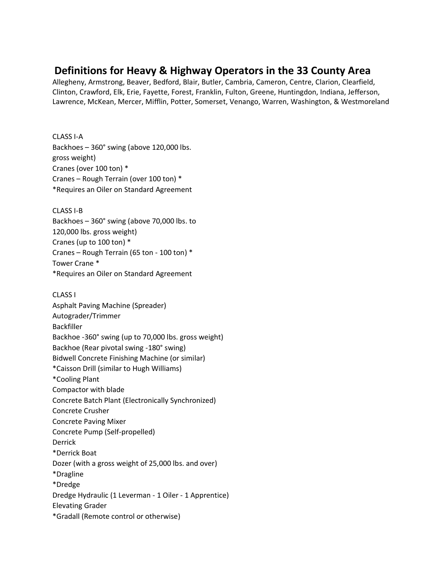## **Definitions for Heavy & Highway Operators in the 33 County Area**

Allegheny, Armstrong, Beaver, Bedford, Blair, Butler, Cambria, Cameron, Centre, Clarion, Clearfield, Clinton, Crawford, Elk, Erie, Fayette, Forest, Franklin, Fulton, Greene, Huntingdon, Indiana, Jefferson, Lawrence, McKean, Mercer, Mifflin, Potter, Somerset, Venango, Warren, Washington, & Westmoreland

## CLASS I-A

Backhoes – 360° swing (above 120,000 lbs. gross weight) Cranes (over 100 ton) \* Cranes – Rough Terrain (over 100 ton) \* \*Requires an Oiler on Standard Agreement

CLASS I-B Backhoes – 360° swing (above 70,000 lbs. to 120,000 lbs. gross weight) Cranes (up to 100 ton) \* Cranes – Rough Terrain (65 ton - 100 ton) \* Tower Crane \* \*Requires an Oiler on Standard Agreement

## CLASS I

Asphalt Paving Machine (Spreader) Autograder/Trimmer Backfiller Backhoe -360° swing (up to 70,000 lbs. gross weight) Backhoe (Rear pivotal swing -180° swing) Bidwell Concrete Finishing Machine (or similar) \*Caisson Drill (similar to Hugh Williams) \*Cooling Plant Compactor with blade Concrete Batch Plant (Electronically Synchronized) Concrete Crusher Concrete Paving Mixer Concrete Pump (Self-propelled) Derrick \*Derrick Boat Dozer (with a gross weight of 25,000 lbs. and over) \*Dragline \*Dredge Dredge Hydraulic (1 Leverman - 1 Oiler - 1 Apprentice) Elevating Grader \*Gradall (Remote control or otherwise)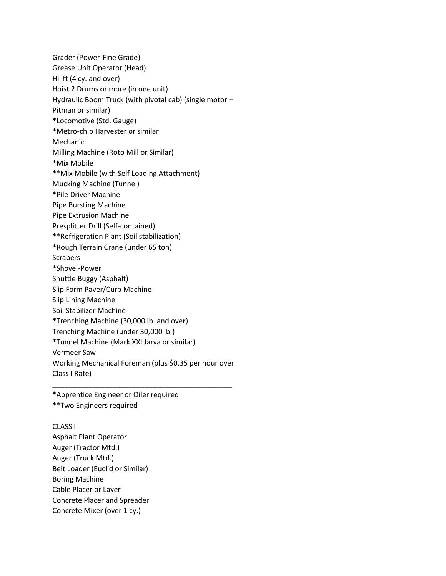Grader (Power-Fine Grade) Grease Unit Operator (Head) Hilift (4 cy. and over) Hoist 2 Drums or more (in one unit) Hydraulic Boom Truck (with pivotal cab) (single motor – Pitman or similar) \*Locomotive (Std. Gauge) \*Metro-chip Harvester or similar Mechanic Milling Machine (Roto Mill or Similar) \*Mix Mobile \*\*Mix Mobile (with Self Loading Attachment) Mucking Machine (Tunnel) \*Pile Driver Machine Pipe Bursting Machine Pipe Extrusion Machine Presplitter Drill (Self-contained) \*\*Refrigeration Plant (Soil stabilization) \*Rough Terrain Crane (under 65 ton) Scrapers \*Shovel-Power Shuttle Buggy (Asphalt) Slip Form Paver/Curb Machine Slip Lining Machine Soil Stabilizer Machine \*Trenching Machine (30,000 lb. and over) Trenching Machine (under 30,000 lb.) \*Tunnel Machine (Mark XXI Jarva or similar) Vermeer Saw Working Mechanical Foreman (plus \$0.35 per hour over Class I Rate) \_\_\_\_\_\_\_\_\_\_\_\_\_\_\_\_\_\_\_\_\_\_\_\_\_\_\_\_\_\_\_\_\_\_\_\_\_\_\_\_\_\_\_\_\_

\*Apprentice Engineer or Oiler required \*\*Two Engineers required

CLASS II Asphalt Plant Operator Auger (Tractor Mtd.) Auger (Truck Mtd.) Belt Loader (Euclid or Similar) Boring Machine Cable Placer or Layer Concrete Placer and Spreader Concrete Mixer (over 1 cy.)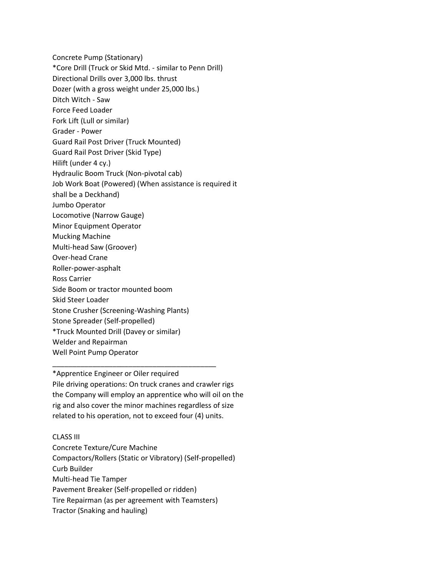Concrete Pump (Stationary) \*Core Drill (Truck or Skid Mtd. - similar to Penn Drill) Directional Drills over 3,000 lbs. thrust Dozer (with a gross weight under 25,000 lbs.) Ditch Witch - Saw Force Feed Loader Fork Lift (Lull or similar) Grader - Power Guard Rail Post Driver (Truck Mounted) Guard Rail Post Driver (Skid Type) Hilift (under 4 cy.) Hydraulic Boom Truck (Non-pivotal cab) Job Work Boat (Powered) (When assistance is required it shall be a Deckhand) Jumbo Operator Locomotive (Narrow Gauge) Minor Equipment Operator Mucking Machine Multi-head Saw (Groover) Over-head Crane Roller-power-asphalt Ross Carrier Side Boom or tractor mounted boom Skid Steer Loader Stone Crusher (Screening-Washing Plants) Stone Spreader (Self-propelled) \*Truck Mounted Drill (Davey or similar) Welder and Repairman Well Point Pump Operator

\*Apprentice Engineer or Oiler required Pile driving operations: On truck cranes and crawler rigs the Company will employ an apprentice who will oil on the rig and also cover the minor machines regardless of size related to his operation, not to exceed four (4) units.

\_\_\_\_\_\_\_\_\_\_\_\_\_\_\_\_\_\_\_\_\_\_\_\_\_\_\_\_\_\_\_\_\_\_\_\_\_\_\_\_\_

## CLASS III

Concrete Texture/Cure Machine Compactors/Rollers (Static or Vibratory) (Self-propelled) Curb Builder Multi-head Tie Tamper Pavement Breaker (Self-propelled or ridden) Tire Repairman (as per agreement with Teamsters) Tractor (Snaking and hauling)